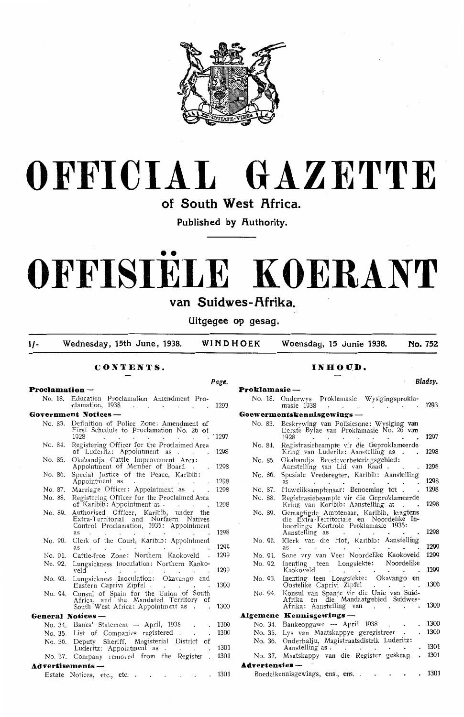



**of South West Africa.** 

**Published by Authority.** 

# •• **OFFISIELE KOERANT**

# van Suidwes-Afrika.

**Uitgegee op gesag.** 

**1/- Wednesday, 15th June, 1938. WINDHOEK Woensdag, 15 Junie 1938. No. 752** 

**Proklamasie** -

**Page.** 

## **CONTENTS.**

#### **Proclamation** -

No. 18. Education Proclamation Amendment Pro clamation, 1938 . . . . . . . . . 1293 **Government Notices** - No. 83. Definition of Police Zone: Amendment of First Schedule to Proclamation No. 26 of 1928 1928 . . . . . . . . . 1297 No. 84. Registering Officer for the Proclaimed Area of Luderitz: Appointment as . . . 1298 No. 85. Okahandia Cattle Improvement Area: Appointment of Member of Board . 1298 No. 86. Special Justice of the Peace, Karibib: Appointment as . . . . . . . . 1298 No. 87. Marriage Officer: Appointment as . . . 1298<br>No. 88. Registering Officer for the Proclaimed Area Registering Officer for the Proclaimed Area of Karibib: Appointment as . . . . . . . 1298<br>Authorised Officer. Karibib. under the No. 89. Authorised Officer, Karibib, under Extra-Territorial and Northern Natives Control Proclamation, 1935: Appointment as 1298 No. 90. Clerk of the Court, Karibib: Appointment<br>as 1299<br>No. 91. Cattle-free Zone: Northern Kaokoveld 1200 No. 91. Cattle-free Zone: Northern Kaokoveld No. 92. Lungsickness Inoculation: Northern Kaoko-<br>veld 129 No. 93. Lungsickness Inoculation: Okavango and Eastern Caprivi Zipfel No. 94. Consul of Spain for the Union of South Africa, and the Mandated Territory of Africa, and the Mandated Territ<br>South West Africa: Appointment as **General Notices** - No. 34. Banks' Statement  $-$  April, 193 No. 35. List of Companies registered No. 36. Deputy Sheriff, Magisterial District of Luderitz: Appointment as No. 37. Company removed from the Register **Advertisements** - 1300 1300 1300 1300 130 . 1301

|  | Estate Notices, etc., etc |  |  |  |  |  |  |  |  | 1301 |
|--|---------------------------|--|--|--|--|--|--|--|--|------|
|--|---------------------------|--|--|--|--|--|--|--|--|------|

#### **INHOUD.**

| No. 18.                | Onderwys Proklamasie Wysigingsprokla-<br>masie 1938                                                                                           | 1293 |
|------------------------|-----------------------------------------------------------------------------------------------------------------------------------------------|------|
|                        | Goewermentskennisgewings -                                                                                                                    |      |
| No. 83.                | Beskrywing van Polisiesone: Wysiging van<br>Eerste Bylae van Proklamasie No. 26 van<br>1928                                                   | 1297 |
| No. 84.                | Registrasiebeampte vir die Geproklameerde<br>Kring van Luderitz: Aanstelling as                                                               | 1298 |
| No. 85.                | Okahandja Beesteverbeteringsgebied:<br>Aanstelling van Lid van Raad                                                                           | 1298 |
| No. 86.                | Spesiale Vrederegter, Karibib: Aanstelling<br><b>as</b>                                                                                       | 1298 |
| No. 87.                | Huweliksamptenaar: Benoeming tot.                                                                                                             | 1298 |
| No. 88.                | Registrasiebeampte vir die Geproklameerde<br>Kring van Karibib: Aanstelling as                                                                | 1298 |
| No. 89.                | Gemagtigde Amptenaar, Karibib, kragtens<br>die Extra-Territoriale en Noordelike In-<br>boorlinge Kontrole Proklamasie 1935:<br>Aanstelling as | 1298 |
| No. 90.                | Klerk van die Hof, Karibib: Aanstelling<br><b>as</b>                                                                                          | 1299 |
| No. 91.                | Sone vry van Vee: Noordelike Kaokoveld                                                                                                        | 1299 |
| No. 92.                | teen Longsiekte: Noordelike<br>Inenting<br>Kaokoveld                                                                                          | 1299 |
| No. 93.                | Inenting teen Longsiekte: Okavango en<br>Oostelike Caprivi Zipfel<br>$\bullet$                                                                | 1300 |
| No. 94.                | Konsul van Spanje vir die Unie van Suid-<br>en die Mandaatgebied Suidwes-<br>Afrika<br>Afrika: Aanstelling van                                | 1300 |
|                        | Algemene Kennisgewings —                                                                                                                      |      |
| No. 34.                | Bankeopgawe — April 1938                                                                                                                      | 1300 |
| No. 35.                | Lys van Maatskappye geregistreer                                                                                                              | 1300 |
| No. 36.                | Onderbalju, Magistraatsdistrik Luderitz:<br>Aanstelling as.                                                                                   | 1301 |
|                        | No. 37. Maatskappy van die Register geskrap                                                                                                   | 1301 |
| <b>Advertensies</b> -- |                                                                                                                                               |      |

Boedelkennisgewings, ens., ens. . . . . . 130

*Bladsy.*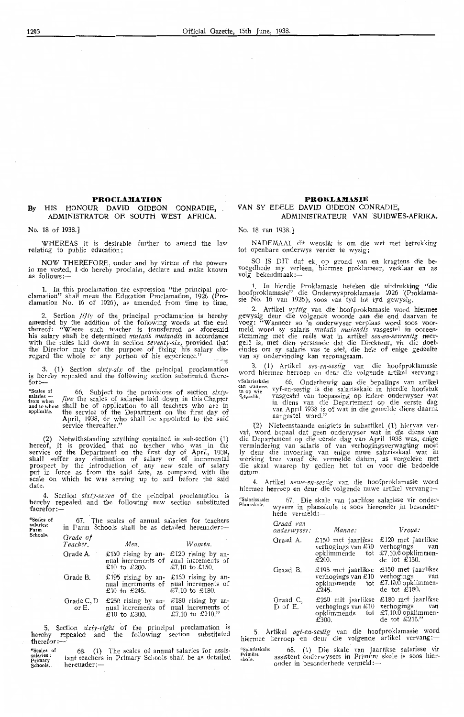#### **PROCLAMATION**

#### **By** HIS HONOUR DAVID GIDEON CONRADIE, ADMINISTRATOR OF. SOUTH WEST AFRICA.

No. 18 of 1938.]

"Scales of salaries: Farm Schools.

WHEREAS it is desirable further *to* amend the law relating *to* public education;

NOW THEREFORE, under and by virtue of the powers in me vested, I do hereby proclaim, declare and make known as follows:-

1. In this proclamation the expression "the principal proclamation" shaH mean the Education PPoclamation, 1926 (Proclamation No. 16 of 1926), as amended from time to time.

2. Section *fifty* of the principal proclamation is hereby amended by the addition of the following words at the end thereof: "Where such teacher is transferred as aforesaid his salary shal'l be determined *mutatis mutandis* in accordance with the rules laid down in section *seventy-six*, provided that the Director may for the purpose of fixing his salary disregard the whole or any portion of his experience."

3. (1) Section *sixty-six* of the principal proclamation is hereby repeated and the following section substituted there $for:$ 

"Scal\_es of 66. Subject to the provisions of section *sixty-* ;:~:':h;;; *filce* the scal,es of salaries laid down in this Chapter and to whom shall be of application to all teachers who are in applicable. the servioe of the Department on the first day of April, 1938, or who shall be appointed to the said<br>service thereafter.''

(2) Notwithstanding anything contained in sub-section (1) hereof, it is provided that no teacher who was in the<br>service of the Department on the first day of April, 1938, shall suffer any diminution of salary or of incremental prospect by the introduction of any new scaie of salary put in force as from the said date, as compared with the scale on which he was serving up to and before the said date.

4. Section *sixty-seven* of the principal proclamation is hereby repealed and the following new section substituted therefor:-

| ١f | 67.                          | The scales of annual salaries for teachers<br>in Farm Schools shall be as detailed hereunder:— |                                                             |
|----|------------------------------|------------------------------------------------------------------------------------------------|-------------------------------------------------------------|
|    | Grade of<br>Teacher.         | Men.                                                                                           | Women.                                                      |
|    | Grade A.                     | $£150$ rising by an-<br>nual increments of nual increments of<br>£10 to £200.                  | £120 rising by an-<br>£7.10 to £150.                        |
|    | Grade B.                     | £195 rising by an-<br>nual increments of<br>£10 to £245.                                       | £150 rising by an-<br>nual increments of<br>£7.10 to £180.  |
|    | Grade C, D<br>or $E_{\rm r}$ | £250 rising by an-<br>nual increments of<br>£10 to £300.                                       | £180 rising by an-<br>nual increments of<br>£7.10 to £210." |
|    |                              |                                                                                                |                                                             |

5. Section *sixty-eight* of the principal proclamation is hereby repealed and the following section substituted therefor:-·

"Scales of salaries: Primary<br>Schools. 68. (1) The scales of annual salaries for assistant teachers in Primary Schools shall be as detailed hereunder:-

#### **PROKLAMASIE** VAN SY EDELE DAVID GIDEON CONRADIE, **ADMINISTRATEUR VAN SUIDWES-AFRIKA.**

No. 18 van 1938.]

 $\frac{qS}{P}$ 

NADEMAAL dit wenslik is om die wet met betrekking tot openbare onderwys verder te wysig;

SO IS DIT dat ek, op grond van en kragtens die bevoegdhede my verleen, hiermee proklameer, verklaar **e**n as<br>volg bekendmaak:—

1. In hierdie Proklamasie beteken die uitdrukking "die hoofproklamasi•e" die Onderwysproklamasie 1926 (Proklamasie No. 16 van 1926), soos van tyd tot tyd gewysig.

2. Artikel vyftig van die· hoofproklamasie word hiermee gewysig deur die volg,ende woo11de aarn die end daarvan *te*  voeg: "Wanneer so 'n onderwyser verplaas word soos voor-<br>meld word sy salaris *mutatis mutandis* vasgestel in ooreen-<br>stemming met die reëls wat in artikel *ses-en-sewentig* neergelê is, met dien verstande dat die Di•rekteur, vir die doel-<br>eindes om sy salaris vas te stel, die hele of enige gedeelte<br>van sy ondervinding kan veronagsaam.

3. (1) Artikel *ses-en-sestig* van die hoofproklamasie<br>word hiermee herroep en deur die volgende artikel vervang: vSalarisskale: 66. Onderhewig aan die bepalings van artikel en wanneer vyf-en-sestig is die salarisskale in hierdie hoofstuk<br>en op wie vyf-en-sestig is die salarisskale in hierdie hoofstuk<br>en vasgestel van toepassing op ie vyf-en-sestig is die salarisskale in hierdie hoofstuk <sup>o</sup> epaslik. vasgestel van toepassing op iedere onderwyser wat in diens van die Departement op die eerste dag<br>van April 1938 is of wat in die gemelde diens daarna aangestel word."

Nieteenstaande enigiets in subartikel (1) hiervan vervat, word bepaal dat geen onderwyser wat in die diens van die Departement op die eerste dag van April 1938 was, enige<br>vermindering van salaris of van verhogingsverwagting moet ly deur die invoering van enige nuwe salarisskaal wat in werking tree vanaf die vermelde datum, as vergeleke met die skaal waarop hy gedien het tot en voor die bedoelde<br>datum.

4. Artikel *sewe-~n-sestig* van die hoofproklamasie word hiermee herroep en deur di•e volgende nuwe artikel vervang :-

| alarisskale: |                                                     |  |  | 67. Die skale van jaarlikse salarisse vir onder- |  |  |
|--------------|-----------------------------------------------------|--|--|--------------------------------------------------|--|--|
| aasskole.    | wysers in plaasskole is soos hieronder in besonder- |  |  |                                                  |  |  |
|              | hede vermeld: $-$                                   |  |  |                                                  |  |  |

| Graad van<br>onderwyser: | Manne:                                                                 | Vroue:                                                                                  |
|--------------------------|------------------------------------------------------------------------|-----------------------------------------------------------------------------------------|
| Graad A.                 | $£150$ met jaarlikse<br>verhogings van £10<br>opklimmende tot<br>£200. | £120 met jaarlikse<br>verhogings<br>van<br>£7.10.0 opklimmen-<br>de tot $\pounds$ 150.  |
| Graad B.                 | £195 met jaarlikse<br>verhogings van £10<br>opklimmende tot<br>£245.   | $£150$ met jaarlikse<br>verhogings van<br>$£7.10.0$ opklimmen-<br>de tot $\pounds$ 180. |
| Graad C,<br>D of E.      | £250 mit jaarlikse<br>verhogings van £10<br>opklimmende tot<br>£300.   | $£180$ met jaarlikse<br>verhogings van<br>£7.10.0 opklimmen-<br>de tot $\pounds 210."$  |

5. Artikel *agt-en-sestig* van die hoofproklamasie word<br>hiermee herroep en deur die volgende artikel vervang:—

**'1 Salarisskale:**  Primêre<br>skole. 68. (1) Die skale van jaarlikse salarisse vir<br>assistent onderwysers in Primêre skole is soos hierassistent onderwysers in Primere<br>onder in besonderhede vermeld:---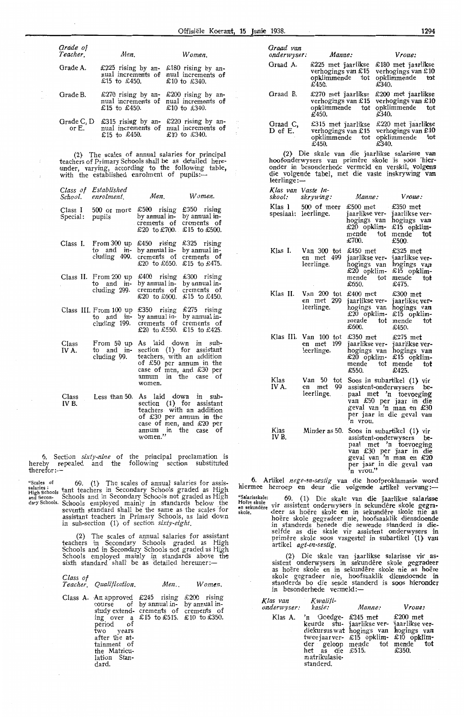| Grade of<br>Teacher. | Men.                                                  | Women.                                                                        |
|----------------------|-------------------------------------------------------|-------------------------------------------------------------------------------|
| Grade A.             | £225 rising by an- £180 rising by an-<br>£15 to £450. | nual increments of nual increments of<br>£10 to £340.                         |
| Grade B.             | $\pounds270$ rising by an-<br>£15 to £450.            | £200 rising by an-<br>nual increments of nual increments of<br>£10 to £340.   |
| Grade C, D<br>or E.  | £315 rising by an-<br>£15 to £450.                    | $£220$ rising by an-<br>nual increments of mual increments of<br>£10 to £340. |

(2} The scales of annual; salaries for principal teachers of Primary Schools shall be as detailed here-<br>under, varying, according to the following table, with the established enrolment of pupils:-

| enrolment.                                     | Men.                                                                                                         | Women.                                                                                                                         |
|------------------------------------------------|--------------------------------------------------------------------------------------------------------------|--------------------------------------------------------------------------------------------------------------------------------|
| 500 or more<br>pupils                          | $£500$ rising<br>by annual in-<br>crements of<br>£20 to £700.                                                | $£350$ rising<br>by annual in-<br>crements<br>οf<br>£15 to £500.                                                               |
| From 300 up<br>and $im-$<br>to<br>cluding 499. | £450 $\frac{1}{2}$ rising<br>by annual in-<br>crements of<br>£20 to £650.                                    | $£325$ rising<br>by annual in-<br>crements of<br>£15 to £475.                                                                  |
| and in-<br>to<br>cluding 299.                  | $\pounds 400$ rising<br>by annual in-<br>crements of<br>£20 to £600.                                         | $\text{\pounds}300$ rising<br>by annual in-<br>crements of<br>£15 to £450.                                                     |
| to<br>cluding 199.                             | £350 rising<br>by annual in-<br>crements of<br>£20 to £550.                                                  | $£275$ rising<br>by annual in-<br>crements of<br>£15 to £425.                                                                  |
| From 50 up<br>to and in-<br>cluding 99.        | As laid down in sub-<br>teachers, with an addition<br>of $£50$ per annum in the<br>in the<br>annum<br>women. | section (1) for assistant<br>case of men, and £30 per<br>case<br>of                                                            |
| Less than 50.                                  | As laid down<br>annum in the case<br>women."                                                                 | in sub-<br>section (1) for assistant<br>teachers with an addition<br>of £30 per annum in the<br>case of men, and £20 per<br>of |
|                                                | Class of Established<br>Class III. From 100 up                                                               | Class II. From 200 up<br>and in-                                                                                               |

6. Section *sixty-nine* of the priincipal proclamation is hereby repealed and the following section substituted therefor:~

"Scales of 69. (1) The scales of annual salaries for assis-<sup>salaries :</sup><br>High Schools tant teachers in Secondary Schools graded as High<br>and Secon• Schools and in Secondary Schools not graded as High dary Schools. Schools employed mainly in .standards below the seventh standard shall be the same as the scales for assistant teachers in Primary Schools, as laid down in sub-section (1) of section *sfrty-eight.* 

> (2} The scales of annual salaries for assistant teachers in Secondary Schools graded as High Schools and in Secondary Schools not graded as High Schools employed mainly in standards above the<br>sixth standard shall be as detailed hereuner:—

| Class of |                         |      |        |
|----------|-------------------------|------|--------|
|          | Teacher, Qualification. | Men. | Women. |

Class **A.** An approved course of study extending over a<br>period of two years<br>after the attainment of the Matriculation Standard. £245 rising by annual increments of £15 to £515. £200 rising by annual increments of £10 to £350.

| Graad van<br>onderwyser: | Manne:                                                                  | Vroue:                                                                    |
|--------------------------|-------------------------------------------------------------------------|---------------------------------------------------------------------------|
| Graad A.                 | £225 met jaarlikse<br>verhogings van £15<br>opklimmende<br>tot<br>£450. | $£180$ met jaarlikse<br>verhogings van £10<br>opklimmende<br>tot<br>£340. |
| Graad B.                 | £270 met jaarlikse<br>verhogings van £15<br>opklimmende<br>tot<br>£450. | £200 met jaarlikse<br>verhogings van £10<br>opklimmende<br>tot<br>£340.   |
| Graad C,<br>$D$ of $E$ . | £315 met jaarlikse<br>verhogings van £15<br>opklimmende<br>tot<br>£450. | $£220$ met jaarlikse<br>verhogings van £10<br>opklimmende<br>tot<br>£340. |

(2) Die skale van die jaarlikse salarisse van<br>hoofonderwysers van primêre skole is soos "hieronder in besonderhede vermeld en verskil, volgens die volgende tabel, met die vaste inskrywing **van**<br>leerlinge:—

| skool:              | Klas van Vaste In-<br>skrywing:                   | Manne:                                                                            | Vroue:                                                                                                                     |
|---------------------|---------------------------------------------------|-----------------------------------------------------------------------------------|----------------------------------------------------------------------------------------------------------------------------|
| Klas I<br>spesiaal: | 500 of meer<br>leerlinge.                         | £500 met<br>jaarlikse ver-<br>hogings van<br>£20 opklim-<br>mende<br>tot<br>£700. | £350 met<br>jaarlikse ver-<br>hogings van<br>£15 opklim-<br>mende<br>tot<br>£500.                                          |
| Klas I.             | Van 300 tot<br>met 499<br>en<br>leerlinge.        | £450 met<br>iaarlikse ver-<br>hogings van<br>£20 opklim-<br>mende<br>tot<br>£650. | $£325$ met<br>jaarlikse ver-<br>hogings van<br>£15 opklim-<br>mende<br>tot<br>£475.                                        |
| Klas II.            | Van 200 tot<br>en met 299<br>leerlinge.           | £400 met<br>jaarlikse ver-<br>hogings van<br>£20 opklim-<br>mende tot<br>£600.    | £300 met<br>jaarlikse ver-<br>hogings van<br>$£15$ opklim-<br>mende<br>tot<br>£450.                                        |
|                     | Klas III. Van 100 tot<br>en met 199<br>leerlinge. | £350 met<br>jaarlikse ver-<br>hogings van<br>£20 opklim-<br>mende<br>tot<br>£550. | $£275$ met<br>jaarlikse ver-<br>hogings van<br>$£15$ opklim-<br>mende<br>tot<br>£425.                                      |
| Klas<br>IV A.       | Van 50<br>tot<br>met 99<br>en<br>leerlinge.       | Soos in subartikel (1) vir<br>assistent-onderwysers<br>'n vrou.                   | be-<br>paal met 'n toevoeging<br>van £50 per jaar in die<br>geval van 'n man en £30<br>per jaar in die geval van           |
| Klas<br>IV B.       | Minder as 50.                                     | assistent-onderwysers<br>geval van 'n man en<br>n vrou."                          | Soos in subartikel (1) vir<br>be-<br>paal met 'n toevoeging<br>van £30 per jaar in die<br>£20<br>per jaar in die geval van |

6. Artikel *nege-en-sestig* van die hoofproklamasie word<br>hiermee herroep en deur die volgende artikel vervang:—

"Salarisskale: 69. (1) Die skale van die jaarlikse salarisse<br>Hoëreskole vir assistent onderwysers in sekundêre skole gegra-<br>en sekundêre deer as hoëre skole en in sekundêre skole nie as hoëre skole gegradeer nie, hoofsaaklik diensdoende in standerds benede die sewende standerd is dieselfde as die skale vir assistent onderwysers **in** primêre skole soos vasgestel in subartikel (1) van artikel *agt-en-sestig.* 

> (2) Die skale van jaarlikse salarisse vir as-<br>sistent onderwysers in sekundêre skole gegradeer<br>as hoëre skole en in sekundêre skole nie as hoëre skole gegradeer nie, hoofsaaklik diensdoende in standerds bo die sesde standerd is soos hieronder in besonderhede vermeld:--

| Klas van Kwalifi-<br>onderwyser: kasie: |                                                                                        | Manne:                                                                                                                                                         | Vroue: |
|-----------------------------------------|----------------------------------------------------------------------------------------|----------------------------------------------------------------------------------------------------------------------------------------------------------------|--------|
|                                         | Klas A. 'n Goedge- £245 met £200 met<br>het as die £515.<br>matrikulasie-<br>standerd. | keurde stu- jaarlikse ver- jaarlikse ver-<br>diekursus wat hogings van hogings van<br>twee jaar ver- £15 opklim- £10 opklim-<br>der geloop mende tot mende tot | £350.  |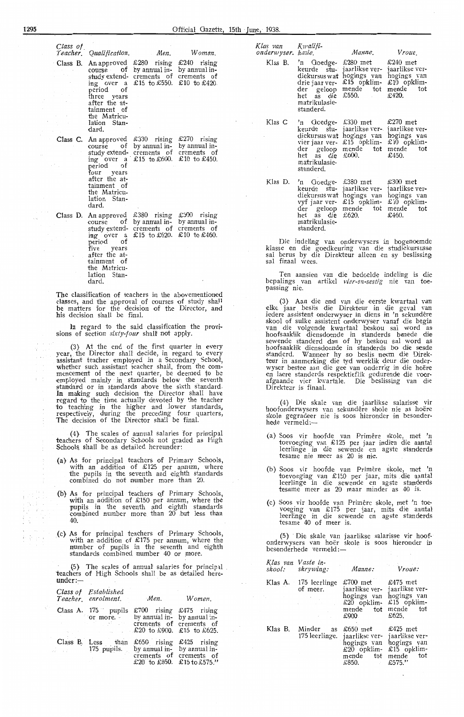1295 Official Gazette, 15th June, 1938.

*Class of. Teach.er. Qualification. Men. Womiin.*  Class B. An approved  $£280$  rising  $£240$  rising course of by annual instudy extend- crements of crements of ing over a £ 15 to £550. £ 10 to £420. period of three years after the attainment of the Matriculation Standard. Class C. An approved  $£330$  rising  $£270$  rising course of by annual instudy extend- crements of crements of i'ng over a · £15 *to* £600. £10 *to* £450. period of four years after the attainment of the Matriculation Standard. Class D. An approved  $\pounds 380$  rising  $\pounds 300$  rising course of by annual in-

study extend- crements of crements of ing over a £ 15 to £620. £ 10 to £460. period of five years after the attainment of the Matriculation Standard.

The classification of teachers in the abovementioned classes, and the approval of courses of study shall be matters for the decision of the Director, and his decision shall be final.

In regard to the said classification the provisions of section *sixty-four* shaH not apply.

(3} At the end of the first quarter in every year, the Director shall decide, in regard to every assistant teacher employed in a Secondary School, whether such assistant teacher shall, from the com-<br>mencement of the next quarter, be deemed to be employed mainly in standards below the seventh standard or in standards above the sixth standard.<br>In making- such decision the Director shall have<br>regard to the time actually devoted by the teacher to teaching in the higher and lower standards,<br>respectively, during the preceding four quarters, The decision of the Director shall be final.

(4) The scales of annual salaries for principal teachers of Secondary Schools not graded as High School~ shall be as detailed hereunder:

- (a) As for principal teachers of Primary Schools, with an addition of £125 per annum, where the pupils in the seventh and eighth standards combined do not number more than 20.
- (b) As for principal teachers of Primary Schools, with an addition of £150 per annum, where the pupils in the seventh and eighth standards combined number more than 20 but less than 40.
- (c) As for principal teachers of Primary Schools, with an addition of £175 per annum, where the number of pupils in the seventh and eighth standards combined number 40 or more.

(5} The scales of annual' salaries for prindp1l . teachers of High Schools shall be as detailed here $under: -$ 

|       | Class of Established<br>Teacher enrolment. | Men.                                                                                                                                                                                                              | Women.                                                                           |
|-------|--------------------------------------------|-------------------------------------------------------------------------------------------------------------------------------------------------------------------------------------------------------------------|----------------------------------------------------------------------------------|
|       | Class A. 175 pupils                        | £700 rising £475 rising<br>or more. by annual in- by annual in-<br><b>Example 2.1 Contract Crements</b> of crements of<br>$\text{\pounds}20$ to $\text{\pounds}900$ . $\text{\pounds}15$ to $\text{\pounds}625$ . |                                                                                  |
| J. Gr | Class B. Less than                         | 175 pupils. by annual in- by annual in-                                                                                                                                                                           | £650 rising £425 rising<br>crements of crements of<br>£20 to £850. £15 to £575." |

| Klas van<br>onderwyser kasie. | Kwalifi-                                                                                                                          | Manne.                                                                                      | Vroue.                                                                              |
|-------------------------------|-----------------------------------------------------------------------------------------------------------------------------------|---------------------------------------------------------------------------------------------|-------------------------------------------------------------------------------------|
| Klas B.                       | 'n Goedge-<br>keurde stu-<br>diekursus wat<br>drie jaar ver-<br>der geloop<br>het as die<br>matrikulasie-<br>standerd.            | £280 met<br>jaarlikse ver-<br>hogings van<br>£15 opklim-<br>mende tot<br>£550.              | $£240$ met<br>jaarlikse ver-<br>hogings van<br>£10 opklim-<br>mende<br>tot<br>£420. |
| Klas C                        | Goedge-<br>'n<br>keurde stu-<br>diekursus wat<br>vier jaar ver-<br>der geloop<br>het as di <b>e</b><br>matrikulasie-<br>standerd. | £330 met<br>jaarlikse ver-<br>hogings van<br>£15 opklim-<br>mende tot mende<br>£600.        | $£270$ met<br>jaarlikse ver-<br>hogings van<br>$£10$ opklim-<br>tot<br>£450.        |
| Klas D.                       | 'n Goedge-<br>keurde stu-<br>diekursus wat<br>vyf jaar ver-<br>het as die<br>matrikulasie-<br>standerd.                           | £380 met<br>jaarlikse ver-<br>hogings van<br>$£15$ opklim-<br>der geloop mende tot<br>£620. | £300 met<br>jaarlikse ver-<br>hogings van<br>$£10$ opklim-<br>mende<br>tot<br>£460. |

Die indeling van onderwysers in bogenoemde klasse en die goedkeuring van die studiekursusse sal berus by die Direkteur alleen en sy beslissing sal finaal wees.

Ten aansien van die bedoelde indeling *is* die bepalings van artikel vier-en-sestig nie van toepassing nie.

(3) Aan die end van die eerste kwartaal van<br>•elke jaar beshis die Direkteur in die geval van<br>•iedere assistent onderwyser in diens in 'n sekundêre skool of sulke assistent onderwyser vanaf die begin<br>van die volgende kwartaal' beskou sal word as<br>hoofsaaklik diensdoende in standerds benede die sewende standerd dan of hy beskou sal word as<br>hoofsaaklik diensdoende in standerds bo die sesde standerd. Wanneer hy so beslis neem die Direkteur in aanmerking die tyd werklik deur die onderwyser bestee aan die gee van onderrig in die hoëre en laere standerds respektieflik gedurende die voor- afgaande vier kwartale. Die beslissi:ng van die Direkteur is finaal.

(4) Die skale van die jaarlikse salarisse vir hoofonderwysers van sekundêre shole nie as hoëre skole gegradeer nie is soos hieronder in besonderhede vermeld:-

- (a} Soos vir hoofde van Primere skole, met 'n toevoeging van £125 per jaar indien die aantal leerlinge in die sewende en agste standerds tesame nie meer as 20 is nie.
- (b) Soos vir hoofde van Primere skole, met 'n toevoeging van £150 per jaar, mits .die aantal leerlinge in die sewende en agste standerds tesame meer as 20 maar minder as 40 is.
- (c) Soos vir hoofde van Primere sko1e, met 'n toevoeging van £175 per jaar, mits die aantal leerlinge in die sewende en agste stand<del>e</del>rds tesame 40 of meer is.

(5) Die skale van jaarlikse salarisse vir hoofonderwysers van hoer skole is soos hieronder in besonderhede vermeld:-

*Klas van V aste in-*

|         | skool: skrywing:                                                                                                        | Manne:                                                                                                                                        | Vroue:                                                                             |
|---------|-------------------------------------------------------------------------------------------------------------------------|-----------------------------------------------------------------------------------------------------------------------------------------------|------------------------------------------------------------------------------------|
|         | Klas A. 175 leerlinge<br>of meer.<br>$\mathcal{A}=\{x_1,\ldots,x_n\}$ , where $\mathcal{A}$<br><b>Contract Contract</b> | £700 met<br>jaarlikse ver-<br>hogings van<br>$\text{\pounds}20$ opklim-<br>mende tot<br>£900                                                  | $£475$ met<br>jaarlikse ver-<br>hogings van<br>$£15$ opklim-<br>mende tot<br>£625. |
| Klas B. | Minder as                                                                                                               | $\pounds 650$ met $\pounds 425$ met<br>175 leerlinge. jaarlikse ver-<br>hogings van<br>$£20$ opklim-<br>mende tot<br>£850.<br><b>Contract</b> | jaarlikse ver-<br>hogings van<br>$£15$ opklim-<br>mende tot<br>£575."              |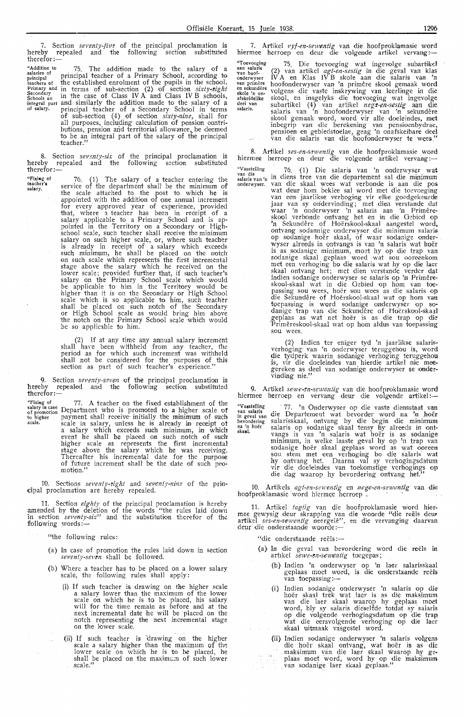7. Section *seventy-five* of the principal proclamation is hereby repeaLed and the following section substituted therefor:-

"Addition to 75. The addition made to the salary of a **salaries of** • . l . . principal pnncrpa teacher of a Pnmary School, acoordmg to teachers of the established enrolment of the pupils in the school. Primary and in terms of sub-section (2) of section *sixty-eight*  $s_{\text{chools an}}$  in the case of Class IV A and Class IV B schools, integral part and similarly the addition made to the salary of a<br>of salary. principal teacher of a Secondary School in terms of sub-section (4) of section *sixty-nine*, shall for all purposes, including calculation of pension contributions, pension and territorial allowance, be deemed<br>to be an integral part of the salary of the principal teacher."

8. Section *seventy-six* of the principal proclamation is hereby repealed and the following section substituted hereby<br>therefor:

**"'Fixing of teacher's salary.** 

76. (1) The salary of a teacher entering the service of the department shall be the minimum of service of the department shall be the minimum of the scale attached to the post to which he is appointed with the addition of one annual increment for every approved year of experience, provided that, where a teacher has been in receipt of a<br>salary applicable to a Primary School and is appointed in the Territory on a Secondary or Highschool scale, such teacher shall receive the minimum salary on such higher scale, or, where such teacher is already in receipt of a salary which exceeds such minimum, he shall be placed on the notch<br>on such scale which represents the first incremental stage above the salary which he received on the lower scale; provided further that, if such teacher's salary on the Primary School scale which would be applicable to him in the Territory would be<br>higher than it is on the Secondary or High School scale which 1s so applicable to him, such teacher shall be placed on such notch of the Secondary<br>or High School scale as would bring him above the notch on the Primary School scale which would be so applicable to him.

(2) If at any time any annual salary increment shall have been withheld from any teacher, the period as for which such increment was withheld shall not be considered for the purposes of this section as part of such teacher's experience."

**9.** Section *seventy-seven* of the principal proclamation is hereby repealed and the following section substituted **therefor:-**

**"'Fixing of salary in case** of promotion 'to higher **scale.**  77. A teacher on the fixed establishment of the Department who is promoted to a higher scale of payment shall receive initially the minimum of such<br>scale in salary, unless he is already in receipt of<br>a salary which exceeds such minimum, in which event he shall be placed on such notch of such higher scale as represents the first incremental stage above the salary which he was reoeiving. Thereafter\_ his incremental date for the purpose of future increment shall be the date of such promotion."

10. Sections *seventy-zight* and *seventy-nine* of the principal proclamation are hereby repealed.

11. Section *eighty\_* of the principal proclamation is hereby amended by the deletion of the words "the rules laid down<br>in section *seventy-six"* and the substitution therefor of the following words:-

"the following rules:

- (a} In case of promotion the rules laid down in section *seventy-seven* shall be followed.
- (b) Where a teacher has to be placed on a lower salary scale, the following rules shall apply:
	- (i) If such teacher is drawing on the higher scale a salary lower than the maximum of the lower scale on which he is to be placed, his salary will for the time remain as before and at the next incremental date he will be placed on the notch representing the next incremental stage on the lower scale.
	- (ii) If such teacher is drawing on the higher scale a salary higher than the maximum of the lower scale on which he is to be placed, he shall be placed on the maximum of such lower scale."

7. Artikel *vyf-en-sewentig* van die hoofproklamasie word<br>hiermee herroep en deur die volgende artikel vervang :-

**"Toevoeging aan salaris**  van hoof-**onderwyser van primere en sekund€:re**  skole 'n on- afskeidelike **deel van salaris.**  75. Die toevoeging wat ingevolge subartikel (2} van artikel *agt-en-sestig* in die geval van klas IV A en Klas IV B skole aan die salaris van 'n<br>hoofonderwyser van 'n primêre skool gemaak word volgens die vaste inskrywing van leerlinge in die skool, en insgelyks die toevoeging wat ingevolge subartikel (4) van artikel *negs-en-sestig* aan die<br>salaris van 'n boofonderwyser van 'n sekundêre salaris van 'n hoofonderwyser van 'n sekundêre<br>skool gemaak word, word vir alle doeleindes, met inbegrip van die berekening van pensioenbydrae, pensioen en gebiedstoelae, geag 'n onafskeibare deel van die salaris van die hoofonderwyser te wees."

8. Artikel *ses-en-s,gwentig* van die hoofproklamasie word<br>hiermee herroep en deur die volgende artikel vervang:-

"Vässtelling 76 (1) Die salaris van 'n onderwyser wat van die van 'n in diens tree van die departement sal die minimum onderwyser. van die skaal wees wat verbonde is aan die pos wat deur hom beklee sal word met die toevoeging<br>van een jaarlikse verhoging vir elke goedgekeurde jaar van sy ondervinding; met dien verstande dat<br>waar 'n onderwyser 'n salaris aan 'n Primêreskool verbonde ontvang het en in die Gebied op 'n Sekundêre of Hoerskool-skaal aangestel word, ontvang sodannige onderwyser die minimum salaris op sodanige hoer skaal, of waar sodanige onderwyser alreeds in ontvangs is van 'n salaris wat hoër<br>is as sodanige minimum, moet hy op die trap van<br>sodanige skaal geplaas word wat sou ooreenkom met een verhoging bo die salaris wat hy op die laer skaal ontvang het; met dien verstande verder dat indien sodanige onderwyser se salaris op 'n Primêreskool-skaal wat in die Gebied op hom van toepassing sou wees, hoër sou wees as die salaris op die Sekundêre of Hoërskool-skaal wat op hom van toepassing is word sodanige onderwyser op so-<br>danige trap van die Sekundêre of Hoërskool-skaal \_gepla,as as wat net hoer is as die trap op die Primêreskool-skaal wat op hom aldus van toepassing<br>sou wees.

> (2) Indien ter eniger tyd 'n jaarlikse salarisverhoging van 'n onderwyser teruggehou is, word die tydperk waarin sodanige verhoging teruggehou is, vir die doeleindes van hierdie artikel nie mee-<br>gereken as deel van sodanige onderwyser se ondervinding nie."

9. Artikel *sewe-en-sewentig* van die hoofproklamasie word hiermee herroep en vervang deur die volgende artikel:

~~;•;!f!~i~g . · 77. 'n Onderwyser op die vasiie diensstaat van in geval van die Departement wat bevorder word na ',n hoer bevordering salarisskaal, ontvang by die begin die minimum na'n hoër salaris op sodanige skaal tensy hy alreeds in ont-<br><sup>skaal</sup> vangs is van 'n salaris wat hoër is as sodanige minimum, in welke laaste geval hy op 'n trap van<br>sodanige hoër skaal geplaas word as wat ooreen<br>sou stem met een verhoging bo die salaris' wat hy ontvang het. Daarna val sy verhogingsdatum vir die doeleindes van toekomstige verhogings op die dag waarop hy bevordering ontvang het."

10. Artikels *agt-en-sewentig* en *nege-en-sewentig* van die hoofproklamasie word hiermee herroep . · · · · · ·

11. Artikel *tagtig* van die hoofproklamasie word hier-<br>mee gewysig deur skrapping van die woorde "die reëls deur artikel *ses-en-sewentig* neergele", en die vervanging daarvan<br>deur die onderstaande woorde:—

"die onderstaande reëls:-

- (a} In die geval van bevordering word die reels in artikel *sewe-en-sewentig* toegepas;
	- (b) Indien 'n onderwyser op 'n laer salarisskaal geplaas moet word, is die onderstaande reëls<br>van toepassing :-
	- (i) Indien sodanige onderwyser 'n salaris op die hoër skaal trek wat laer is as die maksimum<br>van die laer skaal waarop hy geplaas moet word, bly sy salaris dieselfde totdat sy salaris<br>op die volgende verhogingsdatum op die trap wat die eersvolgende verhoging op die laer skaal uitmaak vasgestel word.
	- (ii) Indien sodanige onderwyser 'n salaris volgens die hoër skaal ontvang, wat hoër is as die<br>.maksimum van die laer skaal waarop hy geplaas moet word, word hy op die maksimum<br>van sodanige laer skaal geplaas."  $\mathcal{I}^{\mathcal{I}}$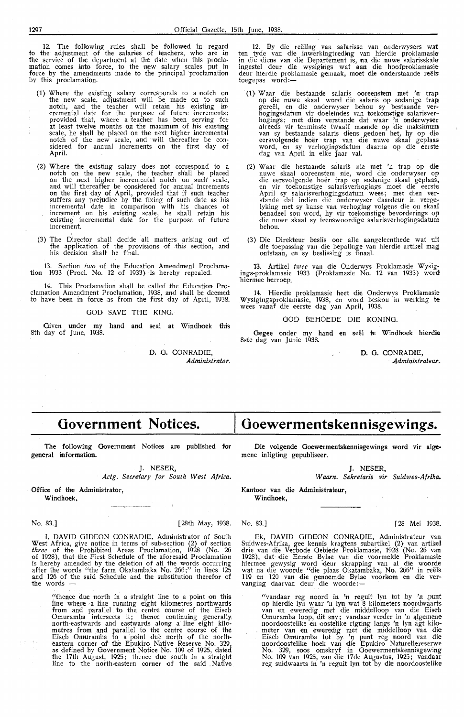12. The following rules shall be followed in regard *to* the adjustment of the salaries of teachers, who are in the service of the department at the date when this proclamation comes into force, *to* the new salary scales put in force by the amendments made to the principal proclamation by this proclamation.

- (1) Where the existing salary corresponds to a notch on the new scale, adjustment will be made on to such notch, and the teacher will retain his existing incremental date for the purpose of future increments; provided that, where a teacher has been serving for at least twelve months on the maximum of his existing scale, he shall be placed on the next higher incremental notch of the new scale, and will thereafter be con-<br>sidered for annual increments on the first day of April.
- (2) Where the existing salary does not correspond to a notch on the new scale, the teacher shall be placed on the next higher incremental notch on such scal-e, and will thereafter be considered for annual increments<br>on the first day of April, provided that if such teacher suffers any prejudice by the fixing of such date as his ,incremental date in comparison with his chances ot increment on his existing scale, he shall retain his<br>existing incremental date for the purpose of future increment.
- (3) The Director shall decide all matters arising out o'f the application of the provisions of this section, and his decision shall be final.

13. Section two of the Education Amendment Proclamation 1933 (Prod. No. 12 of 1933} is hereby repealed.

14. This Proclamation shall be called the Education Proclamation Amendment Proclamation, 1938, and shall be deemed to have been in, foroe as from the first day of April, 1938.

GOD SAVE THE KING.

Given under my hand and seal at Windhoek this 8th day of June, 1938.

> D. G. CONRADIE, *Administrator.*

12. By die reeling van salarisse van onderwysers wat ten tyde van die inwerkingtreding van hierdie proklamasie in die diens van die Departement is, na die nuwe salarisskale<br>ingestel deur die wysigings wat aan die hoofproklamasie deur hierdie proklamasie gemaak, moet die onderstaande reël<del>s</del> toegepas word:-

- (1} Waar die bestaande salaris ooreenstem met 'n trap op die nuwe skaal word die salaris op sodanige trap gereël, en die onderwyser behou sy bestaande ver-<br>hogingsdatum vir doeleindes van toekomstige salarisverhogings; met dien verstande dat waar 'n onderwyser alreeds vir tenminste twaalf maande op die maksimum<br>van sy bestaande salaris diens gedoen het, hy op die eersvolgende hoër trap van die nuwe skaal geplaas word, en sy verhogingsdatum daarna op die eerste dag van April in elke jaar val.
- (2) **W** aar die bestaande salaris nie met 'n trap op die nuwe skaal ooreenstem nie, word die onderwyser **op**  die eersvolgende hoer trap op sodanige skaal geplaas, en vir toekomstige salarisverhogings moet die eerste April sy salarisverhogingsdatum wees; met dien ver-<br>stande dat indien die onderwyser daardeur in vergelyking met sy kanse van verhoging volgens die ou skaal benadeel sou word, hy vir toekomstige bevorderings op die nuwe skaal sy teenswoordige salarisverhogingsdatum behou.
- (3} Die Direkteur beslis oor alle aangeleenthede wat uit die toepassing van die bepalinge van hierdie artikel mag ontstaan, en sy beslissing is finaal.

**13.** Artikel *twee* van die Onderwys Proklamasie Wysigings-proklamasie 1933 (Proklamasie No. 12 van 1933} word hiermee herroep.

14. Hierdie proklamasie heet die Onderwys Proklamasie Wysigingsproklamasie, 1938, en word beskou in werking te wees vanaf die eerste dag yan April, 1938.

#### GOD BEHOEDE DIE KONING.

**Gegee onder my hand en seel re Windhoek hierdie**  8ste dag van Junie 1938.

> **D. 0.** CONRADIE, *Administrateur.*

# **Government Notices.**

The following Government Notices **are** published for general information.

J. NESER,

*Actg. Secretary for South West Africa.* 

 $\cdot$ 

Office of the Administrator, Windhoek,

I, DAVID GIDEON CONRADIE, Administrator of South West Africa, give notice in terms of sub-section (2) of section *three* of the Prohibit>~d Areas Proclamation, 1928 (No. 26 of 1928), that the First Schedule of the aforesaid Proclamation is hereby amended by the deletion of all the words occurring after the words "the farm Okatambaka No. 266;" in lines 125 and 126 of the said Schedule and the substitution therefor of the words -

"thence due north in a straight line to a point on this line where a line ruuning elght kilometres northwards<br>from and parallel to the centre course of the Eiseb Omuramba intersects it; thence continuing generally, north-eastwards and eastwards along a line eight kilometres from and parallel to the centre course of the Eiseb Omuramba to a point due north of the northeastern corner of the Epukiro Native Reserve No. 329, as defined by Government Notice No. 109 of 1925, dated the 17th August, 1925; thence due south in a straight line to the north-eastem corner of the said . Native

# **Goewermentsken n isgewings.**

Die volgende Goewermentskennisgewings word vir alge• mene inligting gepubliseer.

#### J. NESER,

*W aarn. Sekretaris vir Suidwes-Afrika.* 

Kantoor van die Administrateur, **Windhoek,** 

No. 83.] [28th May, 1938. No. 83.] [28 Mei 1938.

Ek, DAVID GIDEON CONRADIE, Administrateur van Suidwes-Afrika, gee kennis kragtens subartikel (2) van artikel drie van die Verbode Gebiede Proklamasie, 1928 (No. 26 van 1928), dat die Eerste Bylae van die voormelde Proklamasie hiermee gewysig word deur skrapping van al die woorde wat na die woorde "die plaas Okatambaka, No. 266" in reels 119 en 120 van die genoemde Bylae voorkom en die ver-<br>vanging daarvan deur die woorde :--

"vandaar reg noord in 'n reguit lyn tot by 'n punt op hierdie lyn waar 'n lyn wat 8 kilometers noordwaarts<br>van en eweredig met die middelloop van die Eiseb Omuramba loop, dit sny; vandaar verder in 'n algemene noordoostelike en oostelike rigting langs 'n lyn agt kilometer van en eweredig met die middelloop van die<br>Eiseb Omuramba tot by 'n punt reg noord van die noordoostelike hoek van die Epukiro Naturellereserwe No. 329, soos omskryf in Goewermentskennisgewing-No. 109 van 1925, van die 17de Augustus, 1925; vandaar reg suidwaarts in 'n reguit lyn tot by die noordoostelike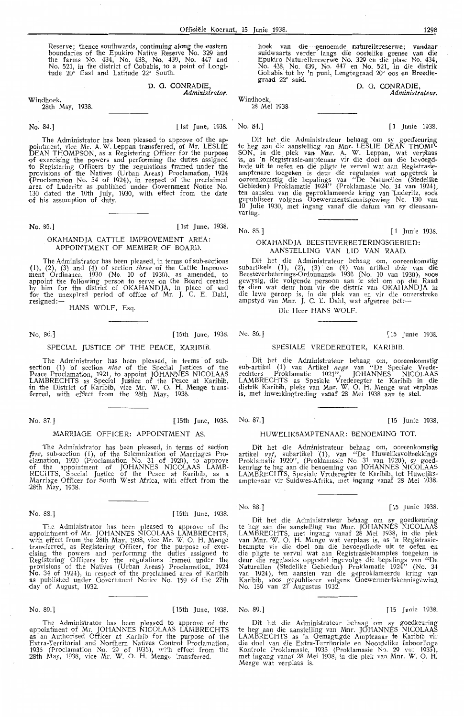Reserve; thence southwards, continuing along the eastern boundaries of the Epukiro Native Reserve No. 329 and the farms No. 434, No. 438, No. 439, No. 447 and No. 521, in the district of Oobabis, to a point of Longitude 20° East and Latitude 22° South.

> D. 0. CONRADIE, *Administratar.*

Windhoek,

28th May, 1938.

No. 84.] [1st June, 1938. No. 84.] [ 1 Junie 1938.

The Administrator has been pleased to approve of the appointment, vice Mr. A. W. Leppan transferred, of Mr. LESLIE DEAN THOMPSON, as a Registering Officer for the purpose of exercising the powers and performing the duties assigned to Registering Officers by the regulations framed under the provisions of the Natives (Urban Areas) Proclamation, 1924 (Proclamation No. 34 of 1924), in respect of the proclaimed .area of Luderitz as .published under Government Notice No. 130 dated the 10th July, 1930, with effect from the date of his assumption of duty.

No. 85.] [1st June, 1938.

#### OKAHANDJA CATTLE IMPROVEMENT AREA: APPOINTMENT OF MEMBER OF BOARD.

The Administrator has been pleased, in terms of sub-sections (1), (2), (3) and (4) of section *three* of the Catne Improve- ment Ordinance, 1930 (No. 10 of 1930), as amended, to appoint the following person to serve on the Board created by him for the district of OKAHANDJA, in place of and for the unexpired period of office of Mr. J. C. E. Dahl, resigned:-

HANS WOLF, Esq.

No. 86. ] [ 15th June, 1938. No. 86.] [ 15 Junie 1938.

#### SPECIAL JUSTICE OF THE PEACE, KARIBIE

The Administrator has been pleased, in terms of subsection (1) of section nine of the Special Justices of the Peace Proclamation, 1921, to appoint JOHANNES NICOLAAS LAMBRECHTS as Special Justice of the Peace at Karibib, in the District of Karibib, vice Mr. W. O. H. Menge transferred, with effied from the 28th May, 1938.

No. 87.] [ 15th June, 1938. No. 87.] [ 15 Junie 1938.

## MARRIAGE OFFICER: APPOINTMENT AS

The Administrator has been pleased, in terms of section *five*, sub-section (1), of the Solemnization of Marriages Proclamation, 1920 (Proclamation No. 31 of 1920), to approve of the appointment of JOHANNES NICOLAAS LAMB-RECHTS, Special Justice of the Peace at Karibib, as a Marriage Officer for South West Africa, with effect from the 28th May, 1938.

No. 88.] [ 15th June, 1938.

The Administrator has been pleased to approve of the appointment of Mr. JOHANNES NICOLAAS LAMBRECHTS, with effect from the 28th May, 1938, vice Mr. W. O. H. Menge transferred, as Registering Officer, for the purpose of exer-<br>cising the powers and performing the duties assigned to Registering Officers by the regulations framed under the provisions of the Natives (Urban Areas) Proclamation, 1924 No. 34 of 192-!), in respect of the proclaimed area of Karibib as published under Government Notice No. 159 of the 27th day of August, 1932.

#### No. 89.] [15th June , 1938. No. 89.] [ 15 Junie 1938.

The Administrator has been pleased to approve of the appointment of Mr. JOHANNES NICOLAAS LAMBRECHTS as an Authorised Officer at Karibib for the purpose of the Extra-Territorial and Northern Natives Control Proclamation, 1935 (Proclamation No. 29 of 1935), with effect from the 28th May, 1938, vice Mr. W. O. H. Mengt Iransferred.

hoek van die genoemde naturellereserwe; vandaar suidwaarts verder langs die oostelike grense van die Epukiro Naturellereserwe No. 329 en die plase No. 434, No. 438, No. 439, No. 447 en No. 521, in die distrik Gobabis tot by 'n punt, Lengtegraad 20° oos en Breedtegraad 22° sui<l. **D. O. CONRADIE,** 

Windhoek, 28 Mei 1938

*Administrateur.* 

Dit het die Administrateur behaag om sy goedkeuring te heg aan die aanstelling van Mnr. LESLIE DEAN THOMP-SON, in die plek van Mmr. A. W. Leppan, wat verplaas<br>is, as 'n Registrasie-amptenaar vir die doel om die bevoegd-<br>hede uit te oefen en die pligte te vervul wat aan Registrasie-<br>amptenare toegeken is deur die regulasies wat ooreenkomstig die bepalings van "De Naturellen (Stedelike Oebieden) Proklamatie 1924" (Proklamasie No. 34 van 1924), ten aansien van die geproklameerde kring van Luderitz, soos gepubliseer volgens Goewermentskennisgewing No. 130 van<br>10 Julie 1930, met ingang vanaf die datum van sy diensaan-varing.

No. 85.] [1 Junie 1938.

#### OKA HAND JA BEESTEVERBETERINOSOEBIED: AANSTELLING VAN LID VAN RAAD.

Dit het die Administrateur behaag om, ooreenkomstig subartikels (1), (2), (3) en (4) van artikel *drie* van die Beesteverbeterings-Ordonnansie 1930 (No. 10 van 1930), soos<br>gewysig, die volgende persoon aan te stel om op die Raad te dien wat deur hom vir die distrik van OKAHANDJA in die lewe geroep is, in die plek van en vir die onverstreke<br>ampstyd van Mnr. J. C. E. Dahl, wat afgetree het:--

Die Heer HANS WOLF.

#### SPESIALE VREDEREOTER, KARIBIB.

Dit het die Administrateur behaag om, ooreenkomstig sub-artikel (1) van Artikel nege van "De Speciale Vrederechters Proklamatie 1921", JOHANNES NICOLAAS LAMBRECHTS as Spesiale Vrederegter te Karibib in die distrik Karibib, pleks van Mnr. W. O. H. Menge wat verplaas is, met inwerkingtreding vanaf 28 Mei 1938 aan te stel.

### HUWELIKSAMPTENAAR: BENOEMINO TOT.

Dit het die Administrateur behaag om, ooreenkomstig artikel *vyf*, subartikel (1), van "De Huweliksvoltrekkings Proklamatie 1920", (Proklamasie No. 31 van 1920), sy goed- keuring te heg aan die benoeming van JOHANNES NICOLAAS LAMBRECHTS, Spesiale Vrederegter te Karibib, *tot* Huwdiks- amptenaar vir Suidwes-Afrika, met ingang vanaf 28 Mei 1938.

No. 88.] [ 15 Junie 1938.

Dit het die Administrateur behaag om sy goedkeuring te heg aan die aanstelling van Mnr. JOHANNES NICOLAAS LAMBRECHTS, met ingang vanaf 28 Mei 1938, in die plek van Mnr. ·w. 0. H. Menge wat verplaas is, as 'n Registrasi-ebeampte vir die doel om die bevoegdhede uit te oefen en die pligte te vervul wat aan Registrasiebeamptes toegeken is deur die regulasies opgestel ingevolge die bepalings van "De Naturellen (Stedelike Gebieden) Proklamatie 1924" (No. 34 van 1924), ten aansien van die geproklameerde kring van Karibib, soos gepubliseer volgens Goewermentskennisgewing No. 159 van 27 Augustus 1932.

Dit het die Administrateur behaag om sy goedkeuring te heg aan die aanstelling van Mar. JOHANNES NICOLAAS LAMBRECHTS as 'n Oemagtigde Amptenaar te Karibib vir die doel van die Extra-Territoriale en Noordelike Inboorlinge<br>Kontrole Proklamasie, 1935 (Proklamasie No. 29 van 1935), met ingang vanaf 28 Mei 1938, in die plek van Mnr. W. O. H. Menge wat verplaas is.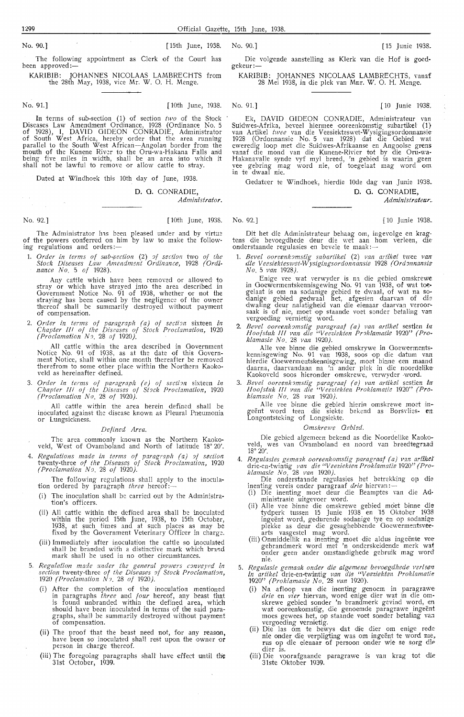The following appointment as Clerk of the Court has been approved:-

KARIBIB: JOHANNES NICOLAAS LAMBRECHTS from the 28th May, 1938, vice Mr. W. 0. H. Menge.

No. 91.] [ 10th June, 1938. No. 91.] [ 10 Junie 1938.

In terms of sub-section ( 1} of section *two* of the Stock Diseases Law Amendment Ordinance, 1928 (Ordinance No. 5 of 1928), I, DAVID GIDEON CONRADIE, Administrator of South West Africa, hereby order that the area running parallel to the South West African-Angolan border from the mouth of the Kunene River to the Oru-wa-Hakana Falls and being five miles in width, shall he an area into which it shall not be lawful to remove or allow cattle to stray.

Dated at Windhoek this 10th day of June, 1938.

#### D. G. CONRADIE,

*Administrator.* 

The Administrator has been pleased under and by virtue of the powers conferred on him by law to make the follow-<br>ing regulations and orders:—

1. *Order in terms of sub-section* (2) of section two of the *Stock Diseases Law Amendmgnt Ordinance,* 1928 *(Ordi- nance No.* 5 *of* 1928).

Any cattle which have been removed or allowed to stray or which have strayed into the area described in Government Notice No. 91 of 1938, whether or not the straying has been caused by the negligence of the owner thereof shall be summarily destroyed without payment of compensation.

2. *Order in terms of paragraph (a) of section* sixteen *in Chapter III of the Diseases of Stock Proclamation*, 1920 *(Proclamation N.1.* 28 *of* 1920).

AU cattle within the area described in Government Notice No. 91 of 1938, as at the date of this Government Notice, shall within one month thereafter be removed therefrom to some other place within the Northern Kaokoveld as hereinafter defined.

3. *Order in terms of paragraph (e) of section* sixteen *in Chapter III of the Diseases of Stock Proclamation,* 1920 *(Proclamation No.* 28 *of* 1920).

All cattle within the area herein defined shall be inoculated against the disease known as Pleural Pneumonia<br>or Lungsickness.

#### *Defined Area.*

The area commonly known as the Northern Kaokoveld, West of Ovamboland and North of latitude 18° 20'.

4. *Regulations made in terms of paragraph (a) of section* twenty-three *of the Diseases of Stock Proclamation,* 1920 *(Proclamation ND.* 28 *of* 1920).

The following regulations shall apply to the inoculation ordered by paragraph *three* hereof:-

- (i) The inoculation shall be carried out by the Administration's officers.
- (ii) All cattle within the defined area shall be inoculated within the period 15th June, 1938, to 15th October, 1938, at such times and at such places as may be fixed by the Government Veterinary Officer in charge.
- (iii) Immediately after inoculation the cattle so inoculated shall be branded with a distinctive mark which brand mark shall be used in no other circumstances.
- 5. *Regulation made under the general powers conveyed in*<br>· section twenty-three of the Diseases of Stock Proclamation, 1920 *(Proclamation NJ.* 28 *of* 1920).
	- (i) After the completion of the irnoculation mentioned in paragraphs *three* and *four* hereof, any beast that is found unbranded within the defined area, whidt should have been inoculated in terms of the said paragraphs, shaH be summarily destroyed without payment of compensation.
	- (ii) The proof that the beast need not, for any reason, have been so inoculated shall rest upon the owner or person in charge thereof.
	- (iii) The foregoing paragraphs shall have effect until the 31st October, 1939.

Die volgende aanstelling as Klerk van die Hof is goedgekeur :-

KARIBIB: JOHANNES NlCOLAAS LAMBRECHTS, vanaf 28 Mei 1938, *in* die plek van Mnr. W. 0. H. Menge.

Ek, DAVID GIDEON CONRADIE, Administrateur van Suidwes-Afrika, beveel hiermee -ooreenkomstig subartiket (1) van Artikel *twee* van die Veesiekteswet-Wysigingsordonnansie 1928 (Ordonnansie No. 5 van 1928) dat die Gebied wat eweredig loop met die Suidwes-Afrikaanse en Angoolse grens vanaf die mond van die Kunene-Rivier *tot* by die Oru-wa-Hakanavalle synde vyf myl breed, 'n gebied is waarin geen<br>vee gebring mag word nie, of toegelaat mag word om in te dwaal nie.

Gedateer te Windhoek, hierdie 10de dag van Junie 1938.

**D. G. CONRADIE,** 

*Administratear.* 

No. 92.] [ loth June, 1938. No. 92.] *[* 10 Junie 1938\_

Dit het die Administrateur behaag om, ingevolge en kragtens die bevoegdhede deur die wet aan hom verleen, die<br>onderstaande regulasies en bevele te maak:—

1. *Bevel oore.enk?mstig subartikel* (2) *van artikel* twee *van die Veesiekteswet-Wysigingsordonnansie* 1928 *(Ord::mnansie No.* 5 *van* 1928).

Enige vee wat verwyder is na die gebied omskrewe in Goewermentskennisgewing No. 91 van 1938, of wat toegelaat is om na sodanige gebied te dwaal, of wat na so-<br>danige gebied gedwaal het, afgesien daarvan of die dwaling deur nalatigheid van die eienaar daarvan veroor- saak is of nie, moet op staamde voet sander betaling van vergoeding vernietig word.

2. *Bevel oornenk?mstig paragraaf (a) van artikel* sestien *in Hoofstuk* Ill *van die "Veeziekt.en Pnklamatie* 1920" *(Pro• klamasie No.* 28 *van* 1920}.

Alie vee binrne die gebied omskrywe in Goewerments-kennisgewing No. 91 van 1938, soos op die datum van hierdie Goewennentskemnisgewing, moet binne een maand daarna, daarvandaan na 'n ander plek in die noordelike· Kaokoveld soos hieronder omskrewe, verwyder -word.

3. *Bevel ooreenk mstig paragraaf (e) van artikel* sestien in *Hoofstuk III van die "Veeziekten Proklamatie* 1920" *(Proklamasie No.* 28 *van* 1920).

Alle vee binne die gebied hierin omskrewe moet ingeënt word teen die siekte bekend as Borsvlies- en Longontsteking of Longsiekte.

*Omskrewe Oebied.* 

Die gebied algemeen bekend as die Noordelike Kaokoveld, wes van Ovamboland en noord van breedtegraad<sup>.</sup><br>18° 20′.

4. *Regulasies gemaak ooreenkomstig paragraaf (a) van artikel*' drie-en-twintig *van* die *"Veeziekten Proklamatie* 1920" *(Proklamasie No.* 28 *van* 1920).

Die onderstaande regulasies het betrekking op die inenting vereis onder paragraaf *drie* hiervan :--<br>(i) Die inenting moet deur die Beamptes van die Ad-

ministrasie uitgevoer word.

- (ii) Alle vee binne die omskrewe gebied moet binne die tydperk tussen 15 Junie 1938 en 15 Oktober 1938 ingeent word, gedurende sodanige tye en op sodanige plekke as deur die gesaghebbende Goewermentsvee• arts vasgestel mag word.
- (iii) Onmiddellik na inenting moet di<e aldus ingeente vee gebrandmerk word met 'n onderskeidende merk **wat**  onder geen ander omstandighede gebruik mag word nie.
- 5. Regulasie gemaak onder die algemene bevoegdhede verleen *in artikel* drie-en-twintig van die "Veeziekten Proklamatie 1920" *(Proklamasie No.* 28 *Man* 1920}.
	- (i) Na afloop van die inenting genoem in paragrawe *drie* en *vier* hiervan, word enige dier wat in die omskrewe gebied sonder 'n brandmerk gevind word, en<br>wat ooreenkomstig, die genoemde paragrawe ingeënt moes gewees het, op staande voet sonder betaling van vergoeding vemietig.
	- (ii) Die las om te bewys dat die dier om enige rede nie onder die verpligting was om ingeënt te word me, rus op die eienaar of persoon onder wie se sorg die dier is.
	- (iii) Die voorafgaande paragrawe is van krag tot die 31ste Oktober 1939.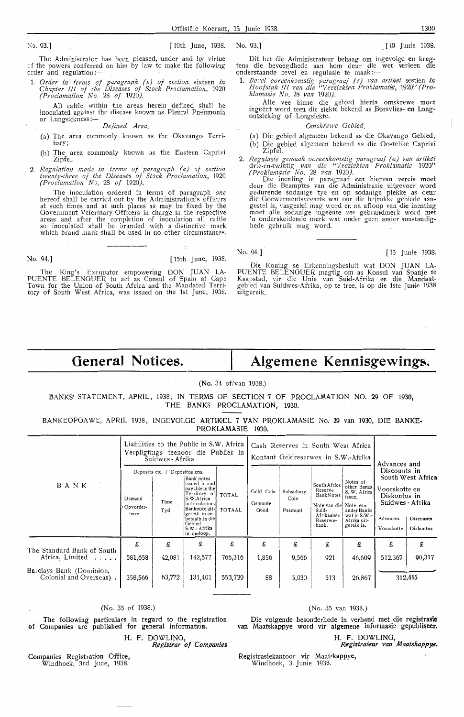The Administrator has been pleased, under and by virtue া the powers conferred on him by law to make the following<br>order and regulation:—

1. *Order in terms of paragraph (e) of section* sixteen *in Chapter III of the Diseases of Stock Proclamation, 1920 (Proclamation N9.* 28 *of* 1920).

AU cattle within the areas herein defined shall be inoculated against the disease known as Pleural Pneumonia<br>or Lungsickness :—

*Defined Area.* 

- (a) The area commonly known as the Okavango Territory;
- (b) The area commonly known as the Eastern Caprivi Zipfel.
- 2. Regulation made in terms of paragraph (a) of section *twenty-three of the Diseases of Stock Proclamation,* 1920 *(Proclamation N,.* 28 *of 1920).*

The inoculation ordered in terms of paragraph *one* hereof shall be carried out by the Administration's officers at such times and at such places as may be fixed by the Government Veterinary Officers in charge in the respective<br>areas and after the completion of inoculation all cattle<br>so inoculated shall be branded with a distinctive mark which brand mark shall be used in no other circumstances.

No. 94.] **[** 15th June, 1938.

The King's Exequator empowering DON JUAN LA-PUENTE BELENGUER to act as Consul of Spain at Cape Town for the Union of South West Africa, was issued on the 1st June, 1938.

Dit het die Administrateur behaag om ingevolge en kragtens die bevoegdhede aan horn deur di,e wet ver1een die onderstaande bevel en regulasie te maak:-

1. *Bevel ooreenk?mstig paragrar;f (e) van artik,el* sestien *in Hoofstuk* !If *van .die "Veezfgkten Proklamati-e,* 1920" *(Proklamasie No.* 28 *van* 1920).

Alle vee binne die gebied hierin omskrewe moet ingeënt word teen die siekte bekend as Borsvlies- en Longontsteking of Longsiekte.

*Omskrewe Oebi.ed.* 

(a) Die gebied algemeen bekend as die Okavango Gebied: (b) Die gebied algemeen bekend as die Oostelike Caprivi Zipfel.

2. *Regulasie gemaak ooreenkomstig paragraaf (a) van artikel* drie-en-twintig van die "Veeziekten Proklamatie 1920" *(Proklamasie No.* 28 *van* 1920).

Die inenting in paragraaf een hiervan vereis moet deur die Beamptes van die Administrasie uitgevoer word gedurende sodanige tye en op sodanige plekke as deur die Goewermentsveearts wat oor die betrokke gebiede aan-<br>gestel is, vasgestel mag word en na afloop van die inenting moet alle sodanige ingeente vee gebrandmerk word met 'n onderskeidende merk wat onder geen ander omstandig- hede gebruik mag word.

No. 94.] [ 15 Junie 1938.

Die Koning se Erkenningsbesluit wat DON JUAN LA-PUENTE BELENGUER magtig om as Konsul van Spanje te<br>Kaapstad, vir -die Unie van Suid-Afrika en die Mandaatgebied van Suidwes-Afrika, op te tree, is op die 1ste Junie 1938 uitgereik.

# **General Notices.**

# **Algemene Kennisgewings.**

(No. 34 of/van 1938.)

BANKS' STATEMENT, APRIL, 1938, IN TERMS OF SECTION 7 OF PROCLAMATION NO. 29 OF 1930, THE BANKS PROCLAMATION, 1930.

BANKEOPGAWE, APRIL 1938, INGEVOLGE ARTIKEL 7 VAN PROKLAMASIE No. 29 van 1930, DIE BANKE-PROKLAMASIE 1930.

|                                                     | Liabilities to the Public in S.W. Africa<br>Verpligtings teenoor die Publiek in<br>Suidwes - Afrika |                                                |                                                                                                                                                                                            | Cash Reserves in South West Africa<br>Kontant Geldreserwes in S.W.-Afrika |                              |                               |                                                                                                           |                                                                                                               |                                                                                                                                                            |             |
|-----------------------------------------------------|-----------------------------------------------------------------------------------------------------|------------------------------------------------|--------------------------------------------------------------------------------------------------------------------------------------------------------------------------------------------|---------------------------------------------------------------------------|------------------------------|-------------------------------|-----------------------------------------------------------------------------------------------------------|---------------------------------------------------------------------------------------------------------------|------------------------------------------------------------------------------------------------------------------------------------------------------------|-------------|
| BANK                                                | Demand<br>Opvorder-<br>hare-                                                                        | Deposits etc. / 'Depositos ens.<br>Time<br>Tyd | Bank notes<br>issued in and<br>payable in the<br>Territory of<br>S.W.Africa<br>in circulation.<br>Banknote uit-I<br>gereik in en<br>betaalb.in die<br>Gebied<br>S.W.- Afrika<br>in omloop. | <b>TOTAL</b><br>TOTAAL                                                    | Gold Coin<br>Gemunte<br>Goud | Subsidiary<br>Coin<br>Pasmunt | South Africa<br>Reserve<br>BankNotes<br>Note van die Note van<br>Suid-<br>Afrikaanse<br>Reserwe-<br>bank. | Notes of<br>other Banks<br>S. W. Africa<br>issue,<br>ander Banke<br>wat in S.W.-<br>Afrika uit-<br>gereik is. | Advances and<br>Discounts in<br>South West Africa<br>Voorskotte en<br>Diskontos in<br>Suidwes - Afrika<br>Advances<br>Discounts<br>Voorskotte<br>Diskontos |             |
| The Standard Bank of South<br>Africa, Limited       | £<br>581,658                                                                                        | £<br>42,081                                    | £<br>142,577                                                                                                                                                                               | £<br>766,316                                                              | £<br>1,856                   | £<br>9,566                    | £<br>921                                                                                                  | £<br>46,609                                                                                                   | £<br>512,367                                                                                                                                               | £<br>90,317 |
| Barclays Bank (Dominion,<br>Colonial and Overseas). | 358,566                                                                                             | 63,772                                         | 131,401                                                                                                                                                                                    | 553,739                                                                   | 88                           | 5,030                         | 513                                                                                                       | 26,867                                                                                                        |                                                                                                                                                            | 312,445     |

#### (No. 35 of 1938.)

The following particulars in regard to the registration Companies are published for general information

H. F. DOWLING,

*Registrar of Companie* 

Companies Registration Office, Windhoek, 3rd June, 1938.

#### (No. 35 van 1938.}

Die volgende besonderhede in verband met die registrasic van Maatskappye word vir algemene informasie gepubliseer.

H. F. DOWLING, *Registrateu.r van Maatsk'appye.* 

Registrasiekantoor vir Maatskappye, Windhoek, 3 Junie 1938.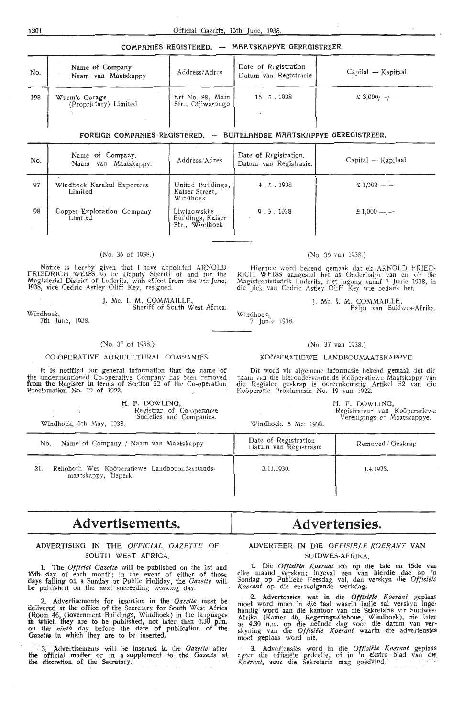COMPANIES REGISTERED. - MAATSKAPPYE GEREGISTREER.

| No. | Name of Company.<br>Naam van Maatskappv | Address/Adres                           | Date of Registration<br>Datum van Registrasie | $Capital - Kapitaal$ |
|-----|-----------------------------------------|-----------------------------------------|-----------------------------------------------|----------------------|
| 198 | Wurm's Garage<br>(Proprietary) Limited  | Erf No. 88, Main  <br>Str., Otjiwarongo | 16.5.1938                                     | $\pounds$ 3,000/-/-  |

#### FOREIGN COMPANIES REGISTERED. - BUITELANDSE MAATSKAPPYE GEREGISTREER.

| No. | Name of Company.<br>Naam van Maatskappy. | Address/Adres                                       | Date of Registration.<br>Datum van Registrasie. | Capital — Kapitaal |
|-----|------------------------------------------|-----------------------------------------------------|-------------------------------------------------|--------------------|
| 97  | Windhoek Karakul Exporters<br>Limited    | United Buildings,<br>Kaiser Street,<br>Windhoek     | 4.5.1938                                        | $£1,000 - -$       |
| 98  | Copper Exploration Company<br>Limited    | Liwinowski's<br>Buildings, Kaiser<br>Str., Windhoek | 9.5.1938                                        | $£1,000$ — —       |

#### (No. 36 of 1938.)

Notice is hereby given that I have appointed ARNOLD<br>FRIEDRICH WEISS to be Deputy Sheriff of and for the<br>Magisterial District of Luderitz, with effect from the 7th June, 1938, vice Cedric Astley Oliff Key, resigned.

Windhoek,

7th June, 1938.

J. Mc. I. M. COMMAILLE, Sheriff of South West Africa.

#### (No. 37 of 1938.}

#### CO-OPERATIVE AGRICULTURAL COMPANIES.

It is notified for general information that the name of the undermentioned Co-operative Company has been removed **from** the Register in terms of Section 52 of the Co-operation Proclamation No. 19 of 1922.

|            | H. F. DOWLING. |                           |
|------------|----------------|---------------------------|
|            |                | Registrar of Co-operative |
| $\sqrt{2}$ |                | Societies and Companies.  |

Windhoek, 5th May, 1938.

#### (No. 36 van 1938.)

Hiermee word bekend gemaak dat ek ARNOLD FRIED· RICH WEISS aangestel het as Onderbalju van en vir die Magistraatsdistrik Luderitz, met ingang vanaf 7 Junie 1938, in die plek van Cedric Astley Oliff Key wie bedank het.

J. Mc. I. M. COMMAILLE,

Windhoek, Balju van Suidwes-Afrika.

7 Junie 1938.

#### (No. 37 van 1938.)

#### KOÖPERATIEWE LANDBOUMAATSKAPPYE.

Dit word vir algemene informasie bekend gemaak dat die naam van die hierondervermelde Koöperatiewe Maatskappy van die Register geskrap is ooreenkomstig Artikel 52 van die Koöperasie Proklamasie No. 19 van 1922.

H. F. DOWLING,

Registrateur van Koöperatiewe Verenigings en Maatskappye.

Windhoek, 5 Mei 1938.

| Name of Company / Naam van Maatskappy<br>No.                                | Date of Registration<br>Datum van Registrasie | Removed / Geskrap |
|-----------------------------------------------------------------------------|-----------------------------------------------|-------------------|
| Rehoboth Wes Koöperatiewe Landbouonderstands-<br>21.<br>maatskappy, Beperk. | 3.11.1930.                                    | 1.4.1938.         |

# **Advertisements.**

#### ADVERTISING IN THE *OFFICIAL GAZETTE* OF SOUTH WEST AFRICA.

**1.** The *Official Gazette* will be published on the 1st and **15th** day of each month; in the event of either of those days falling on a Sunday or Public Holiday, the *Gazette* will **be** published on the next succeeding working day.

**2.** Advertisements for insertion in the *Gazette* must be delivered at the office of the Secretary for South West Africa (Room 46, Government Buildings, Windhoek) in the languages in **which** they are to be published, not later than 4.30 p.m. on the *ninth* day before the date of publication of the Gazette in which they are to be inserted.

' 3. Advertisements will be inserted in the *Gazette* after the official matter or in a supplement to the *Gazette* at the discretion of the Sect~tary. · · · ·

## **Advertensies.**

#### ADVERTEER IN DIE OFFISIËLE KOERANT VAN SUIDWES-AFRIKA.

1. Die *Offisiële Koerant* sai op die 1ste en 15de van elke maand verskyn; ingeval een van hierdie dae op 'n Sondag op Publieke Feesdag val, dan verskyn die *Otfisiiil2 Koerant* op die eersvolgende werkdag.

2. Advertensies wat in die Offisiële Koerant geplaas moet word moet in die taal waarin hulle sal verskyn ingehandig word aan die kantoor van die Sekretaris vir Suidwes-<br>Afrika (Kamer 46, Regerings-Geboue, Windhoek), nie later<br>as 4.30 n.m. op die neënde dag voor die datum van ver-<br>skyning van die *Offisiële Koerant* waarin die adv moet geplaas word nie.

3. Advertensies word in die *Offisiële Koerant* geplaas agter die offisiële gedeelte, of in 'n ekstra blad van die Koerant, soos die Sekretaris mag goedvind.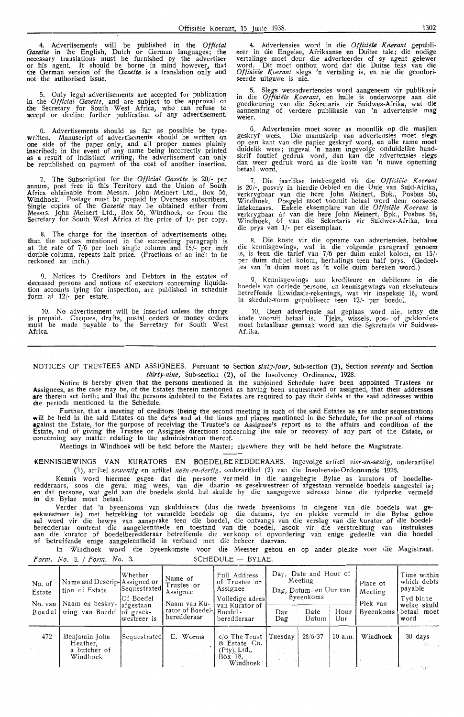4. Advertisements will be published in the *Official Gazette* in the English, Dutch or German languages; the necessary translations must be furnished by the advertiser or his agent. It should be borne in mind however, that the German version of the *Gazette* is a translation only and not the authorised issue.

5. Only legal advertisements are acoepted for publication in the *Official Gazette,* and are subject *to* the approval of the Secretary for South West Africa, who can refuse to accept or decline further publication of any advertisement.

6. Advertisements should as far as possible be typewritten. Manuscript of advertisements should be written *qn*  **one** side of the paper only, and all \_proper names plainly inscribed; in the event of any name being incorrectly printed as a result of indistinct writing, the advertisement can only **be** republished on payment of the cost of another insertion.

7. The Subscription for the *Official Gazette* is 20/- per annum, post free in this Territory and the Union of South Africa obtainable from Messrs. John Meinert Ltd., Box 56, Windhoek. Postage must be prepaid by Overseas subscribers. Single copies of the *Gazette* may be obtained either from Messrs. John Meinert Ltd., Box 56, Windhoek, or from the Secretary for South West Africa at the price of 1/- per copy.

The charge for the insertion of advertisements other than the notices mentioned in the succeeding paragraph is **at** the rate of 7 /6 per inch single column and 15/- per inch' double column, repeats half price. (Fractions of an inch to be reckoned an inch.)

9. Notices to Creditors and Debtors in the estates of deceased persons and notices of executors concerning liquidation accounts lying for inspection, are published in schedule form at 12/- per estate.

10. No advertisement will be inserted unless the charge **is** prepaid. Cheques, drafts, postal orders or money orders must be made payable to the Secretary for South West **Africa.** 

4. Advertensies word in die *Offisiële Koerant* gepubliseer in die Engelse, Afrikaanse en Duitse tale; die nodige vertalinge moet deur die adverteerder of sy agent gelewer word. Dit moet onthou word dat die Duitse teks van die *Offisiiile K.oerant* slegs 'n vertaling is, en nie die geoutori• seerde uitgawe is nie.

5. Slegs wetsadvertensies word aangeneem vir publikasie in die *Offisiiile K.oerant,* en hulle is onderworpe aan die goedkeuring van die Sekretaris vir Suidwes,Afrika, wat . **die**  aanneming of verdere publikasie van 'n advertensie mag weler.

6. Advertensies moet saver as moontlik op die masjien geskryf wees. Die manuskrip van adverlensies moet **slegs**  op een kant van die papier geskryf word, en alle na\_me moet duidelik wees; ingeval 'n naam ingevolge onduidelike handskrif foutief gedruk word, dan kan die advertensies slegs dan weer gedruk word as die koste van 'n nuwe opneming betaal word.

7. Die jaarlikse intekengeld vir die Offisiële Koerant is 20/-, posvry in hierdie Gebied en die Unie van Suid-Afrika, is 20/-, posvry in hierdie Oebted en die Unie van Suid-Afrika, verkrygbaar van die here John Meinert, Bpk., Posbus 56, Windhoek. Posgeld moet vooruit betaal word deur oorseese intekenaars. Enkele eksemplare van die *Offisiële Koerant* is verkrygbaar of van die here John Meinert, Bpk., Posbus 56, Windhoek, of van die Sekretaris vir Suidwes-Afrika, teen die prys van 1/- per eksemplaar.

8. Die koste vir die opname van advertensies, **beh'alwe**  die kennisgewings, wat in die volgende paragraaf genoem is, is teen die tarief van 7/6 per duim enkel kolom, en 15/- per duim dubbel kolom, herhalings teen half prys. (Oedeeltes van 'n duim moet as 'n voile duim bereken word.)

9. Kennisgewings aan krediteure en debiteure in die boedels van oorlede persone, en kennisgewings van eksekuteurs betreffende likwidasie-rekenings, wat vir inspeksie lê, word in skedule-vorm gepubliseer teen 12/- per boedel.

10. Geen advertensie sal geplaas word nie, tensy **die**  koste vooruit betaal is. Tjeks, wissels, pos- of geldorders moet betaalbaar gemaak word aan die Sekretaris vir Suidwes-Afrika.

NOTICES OF TRUSTEES AND ASSIGNEES. Pursuant to Section *sixty-four,* Sub-section (3), Section *seventy* and Section thirty-nine, Sub-section (2), of the Insolvency Ordinance, 1928.

Notice is hereby given that the persons mentioned in the subjoined Schedule have been appointed Trustees **or**  Assignees, as the case may be, of the Estates therein mentioned as having been sequestrated or assigned, that their addresses **a.re** therein set forth; and that the persons indebted to the Estates are required to pay their debts at the said addresses **within**  the periods mentioned in the Schedule.

further, that a meeting of creditors (being the second meeting in such of the said Estates as are under sequestration) will be held in the said Estates on the da<sup>4</sup>es and at the times and places mentioned in the Schedule, for the proof of claims **against the Estate, for the purpose of receiving the Trustee's or Assignee's report as to the affairs and condition of the** Estate, and of giving the Trustee or Assignee directions concerning the sale or recovery of any part of the Estate, or concerning any matter relating to the administration thereof.

Meetings in Windhoek will be held before the Master; elsewhere they will be held before the Magistrate.

KENNISGEWINGS VAN KURATORS EN BOEDELBE REDDERAARS. Ingevolge artikel *vier-en-sestig*, onderartikel (3), artikel *sewentig* en artikel *neën-en-dertig*, onderartikel (2) van die Insolvensie-Ordonnansie 1928.

Kennis word hiermee gegee dat die persone ver meld in die aangehegte Bylae as kurators of boedelberedderaars, soos die geval mag wees, van die daarin as gesekwestreer of afgestaan vermelde boedels aangestel is; **-en** dat persone, wat geld aan die boedels skuld hul skulde by die aangegewe adresse binne die tydperke vermeld in die Bylae moet betaal.

Verder dat 'n byeenkoms van skuldeisers (dus die twede byeenkoms in diegene van die boedels wat **ge-** ,sekwestreer is) met betrekking tot vermelde boedels op die datums, tye en plekke vermeld in die Bylae gehou sal word vir die bewys van aansprake teen die boedel, die ontvangs van die verslag van die kurator of die boedel<br>beredderaar omtrent die aangeleenthede en toestand van die boedel, asook vir die verstrekking van instruksies **aan** die kurator of boedelberedderaar betrcffende die ver koop of opvordering van enige gedeelte van die boedel 6f betreffende enige aahgeleentheid in verband met die beheer daarvan.

In Windhoek word die byeenkomste voor die Meester gehou en op antler plekke voor die Magistraat.  $Form. No. 3. / Form. No. 3.$  SCHEDULE - BYLAE.

Whether  $f_{\text{Hul}}$  Name of  $f_{\text{Hul}}$  and  $f_{\text{Hul}}$  and Hour of  $f_{\text{Hul}}$  and Hour of  $f_{\text{Hul}}$   $f_{\text{Hul}}$  and  $f_{\text{Hul}}$   $f_{\text{Hul}}$   $f_{\text{Hul}}$   $f_{\text{Hul}}$   $f_{\text{Hul}}$   $f_{\text{Hul}}$   $f_{\text{Hul}}$   $f_{\text{Hul}}$   $f_{\text{Hul}}$   $f_{\text{Hul$ No. of  $\begin{bmatrix} \text{Name} \\ \text{Name} \\ \text{Name} \end{bmatrix}$   $\begin{bmatrix} \text{Name of} \\ \text{Name of} \\ \text{A} \end{bmatrix}$   $\begin{bmatrix} \text{Value} \\ \text{A} \\ \text{B} \end{bmatrix}$   $\begin{bmatrix} \text{Value} \\ \text{A} \\ \text{B} \end{bmatrix}$   $\begin{bmatrix} \text{Value} \\ \text{A} \\ \text{B} \end{bmatrix}$   $\begin{bmatrix} \text{Value} \\ \text{B} \\ \text{B} \end{bmatrix}$   $\begin{bmatrix} \text{Value} \\ \text{B} \\ \$ No. of Name and Descrip-Assigned or Trustee or Assignee Pag, Datum- en Uur van Meeting Meeting Place of Which deb<br>Contracted Assignee Dag, Datum- en Uur van Meeting Meeting Payable<br>Tyd binne Of Boedel Naam van Ku-<br>
of gesek-<br>
Tyd binne<br>
Tyd binne<br>
Tyd binne<br>
Tyd binne<br>
Tyd binne<br>
Tyd binne<br>
Tyd binne<br>
Tyd binne<br>
Welke skuld<br>
Tate Hour Byeenkoms<br>
betaal moet No. van Naam en beskry- afgestaan Naam van Ku- van Kurator of **Pierre Angelieu- Angelie** Plek van Welke skuld Boe del wing van Boedel of gesek- rator of Boedel- Boedel Day Date Hour Byeenkoms betaal moet of gesek-<br>westreer is beredderaar beredderaar Dag Datum Uur Byeenkoms betaa I 472 | Benjamin John | Sequestrated E. Worms | c/o The Trust | Tuesday | 28/6/37 | 10 a.m. | Windhoek | 30 days Heather, a butcher of  $\begin{bmatrix} x & x & x & x \\ 0 & x & y \end{bmatrix}$  .  $\begin{bmatrix} x & x & x & x \\ 0 & x & y \end{bmatrix}$  .  $\begin{bmatrix} x & y & z \\ y & y & z \end{bmatrix}$ a butcher of (Pty), Ltd. (Pty), Ltd. (Pty), Ltd., Change of (Pty), Ltd., Change of (Pty), Ltd., Change of (Pty), Ltd., Change of (Pty), Ltd. Windhoek windhoek **•**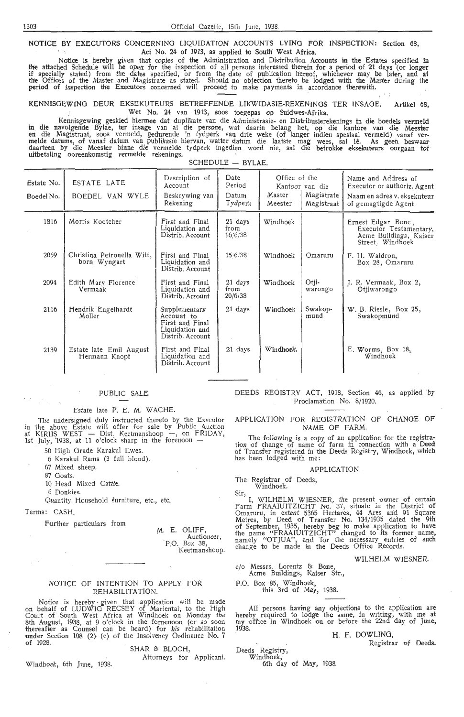NOTICE BY EXECUTORS CONCERNING LIQUIDATION ACCOUNTS LYING FOR INSPECTION: Section 68, Act No. 24 of 1913, as applied to South West Africa.

. Notice is hereby given that copies of the Admtnistration and Distribution Accounts in the Estates specified in the attached Schedule will be open for the inspection of all persons interested therein for a period of 21 days (or longer if specially stated) from the dates specified, or from the date of publication hereof, whichever may be later, and at<br>the Offices of the Master and Magistrate as stated. Should no objection thereto be lodged with the Maste

KENNISGEWING DEUR EKSEKUTEURS BETREFFENDE LIKWIDASIE-REKENINGS TER INSAGE. Artikel 68,<br>Wet No. 24 van 1913, soos toegepas op Suidwes-Afrika. Wet No. 24 van 1913, soos toegepas op Suidwes-Afrika.

Kennisgewing geskied hiermee dat duplikate van die Administrasie- en Distribusierekenings in die boedels vermeld in die navolgende Bylae, ter insage van al die persone, wat daarin belang het, op die kantore van die Meester<br>en die Magistraat, soos vermeld, gedurende 'n tydperk van drie weke (of langer indien spesiaal vermeld) vanaf<br>me

| Estate No.<br>Boedel No. | ESTATE LATE<br>BOEDEL VAN WYLE             | Description of<br>Account<br>Beskrywing van<br>Rekening                               | Date<br>Period<br>Datum<br>Tydperk | Office of the<br>Master<br>Meester | Kantoor van die<br>Magistrate<br>Magistraat | Name and Address of<br>Executor or authoriz. Agent<br>Naam en adres v. eksekuteur<br>of gemagtigde Agent |
|--------------------------|--------------------------------------------|---------------------------------------------------------------------------------------|------------------------------------|------------------------------------|---------------------------------------------|----------------------------------------------------------------------------------------------------------|
| 1816                     | Morris Kootcher                            | First and Final<br>Liquidation and<br>Distrib. Account                                | 21 days<br>from<br>16/6/38         | Windhoek                           |                                             | Ernest Edgar Bone,<br>Executor Testamentary,<br>Acme Buildings, Kaiser<br>Street, Windhoek               |
| 2069                     | Christina Petronella Witt,<br>born Wyngart | First and Final<br>Liquidation and<br>Distrib. Account                                | 15.6/38                            | Windhoek                           | Omaruru                                     | F. H. Waldron,<br>Box 28, Omaruru                                                                        |
| 2094                     | Edith Mary Florence<br>Vermaak             | First and Final<br>Liquidation and<br>Distrib. Account                                | 21 days<br>from<br>20/6/38         | Windhoek                           | Otji-<br>warongo                            | J. R. Vermaak, Box 2,<br>Otiiwarongo                                                                     |
| 2116                     | Hendrik Engelhardt<br>Moller               | Supplementary<br>Account to<br>First and Final<br>Liquidation and<br>Distrib. Account | $21$ days                          | Windhoek                           | Swakop-<br>mund                             | W. B. Riesle, Box 25,<br>Swakopmund                                                                      |
| 2139                     | Estate late Emil August<br>Hermann Knopf   | First and Final<br>Liquidation and<br>Distrib. Account                                | 21 days                            | Windhoek.                          |                                             | E. Worms, Box 18,<br>Windhoek                                                                            |

#### $SCHEDULE - BYLAE.$

#### PUBLIC SALE.

Estate late P. E. M. WACHE.

The undersigned duly instructed thereto by the Executor in the above Estate will offer for sale by Public Auction<br>at KIRIIS WEST — Dist. Keetmanshoop —, on FRIDAY,<br>1st July, '1938, at 11 o'clock sharp in the forenoon —

50 High Grade Karakul Ewes.

6 Karakul Rams (3 full blood).

67 Mixed sheep.

87 Goats.

 $\sim$ 

10 Head Mixed Cattle.

6 Donkies.

Quantity Household *lurniture*, etc., etc.

Terms: CASH.

 $\sim$ 

 $\sim$   $\sim$ 

Further particulars from

M. E. OLIFF,<br>Auctioneer, P.O. Box 38, Keetmanshoop.

#### NOTICE OF INTENTION TO APPLY FOR REHABILITATION.

Notice is hereby given that application will be made<br>on behalf of LUDWIG RECSEY of Mariental, to the High Court of South West Africa at Windhoek on Monday the 8th August, 1938, at 9 o'clock in the formenoon (or so soon thereafter as Counsel can be heard) for his rehabilitation under Section 108 (2) (c) of the Insolvency Ordinance No. 7 of 1928.

#### SHAR & BLOCH,

Attorneys for Applicant.

Winqhoek, 6th June, 1938.

DEEDS REGISTRY ACT, 1918, Section 46, as applied by Proclamation No. 8/1920.

#### APPLICATION FOR REGISTRATION Of CHANGE OF NAME OF FARM.

The following is a copy of an application for the registration of change of name of farm in connection with a Deed of Transfer registered in the Deeds Registry, Windhoek, which has been lodged with me:

#### APPLICATION.

The Registrar of Deeds,

Windhoek.

Sir,<br>I, WILHELM WIESNER, the present owner of certain Farm FRAAIUITZICHT No. 37, situate in the District **of**  Omaruru, in extent 5365 Hectares, 44 Ares and 91 Square Metres, by Deed of Transfer No. 134/1935 dated the 9th of September, 1935, hereby beg to make application to have the name "FRAAIUITZICHT" changed to its former name, namely "OTJUA", and for the necessary entries of such change to be made in the Deeds Office Records.

**WILHELM WIESNER.** 

c/o Messrs. Lorentz & Bone,

Acme Buildings, Kaiser Sfr., P.O. Box 85, Windhoek, this 3rd of May, 1938.

All persons having any objections to the application are hereby required to lodge the same, in writing, with me at my office in Windhoek on or before the 22nd day of June, 1938.

#### H. F. DOWLING,

Registrar of Deeds.

Deeds Registry, Windhoek,

6th day of May, 1938.